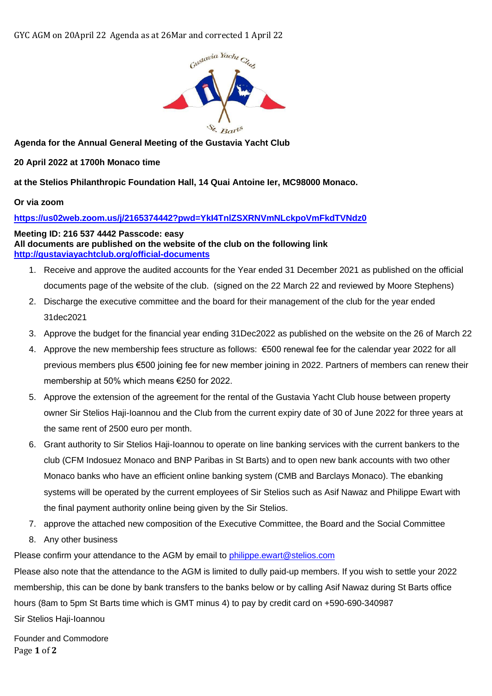

**Agenda for the Annual General Meeting of the Gustavia Yacht Club** 

**20 April 2022 at 1700h Monaco time** 

**at the Stelios Philanthropic Foundation Hall, 14 Quai Antoine Ier, MC98000 Monaco.**

## **Or via zoom**

## **<https://us02web.zoom.us/j/2165374442?pwd=YkI4TnlZSXRNVmNLckpoVmFkdTVNdz0>**

**Meeting ID: 216 537 4442 Passcode: easy All documents are published on the website of the club on the following link <http://gustaviayachtclub.org/official-documents>**

- 1. Receive and approve the audited accounts for the Year ended 31 December 2021 as published on the official documents page of the website of the club. (signed on the 22 March 22 and reviewed by Moore Stephens)
- 2. Discharge the executive committee and the board for their management of the club for the year ended 31dec2021
- 3. Approve the budget for the financial year ending 31Dec2022 as published on the website on the 26 of March 22
- 4. Approve the new membership fees structure as follows: €500 renewal fee for the calendar year 2022 for all previous members plus €500 joining fee for new member joining in 2022. Partners of members can renew their membership at 50% which means €250 for 2022.
- 5. Approve the extension of the agreement for the rental of the Gustavia Yacht Club house between property owner Sir Stelios Haji-Ioannou and the Club from the current expiry date of 30 of June 2022 for three years at the same rent of 2500 euro per month.
- 6. Grant authority to Sir Stelios Haji-Ioannou to operate on line banking services with the current bankers to the club (CFM Indosuez Monaco and BNP Paribas in St Barts) and to open new bank accounts with two other Monaco banks who have an efficient online banking system (CMB and Barclays Monaco). The ebanking systems will be operated by the current employees of Sir Stelios such as Asif Nawaz and Philippe Ewart with the final payment authority online being given by the Sir Stelios.
- 7. approve the attached new composition of the Executive Committee, the Board and the Social Committee
- 8. Any other business

Please confirm your attendance to the AGM by email to [philippe.ewart@stelios.com](mailto:philippe.ewart@stelios.com)

Please also note that the attendance to the AGM is limited to dully paid-up members. If you wish to settle your 2022 membership, this can be done by bank transfers to the banks below or by calling Asif Nawaz during St Barts office hours (8am to 5pm St Barts time which is GMT minus 4) to pay by credit card on +590-690-340987 Sir Stelios Haji-Ioannou

Page **1** of **2** Founder and Commodore